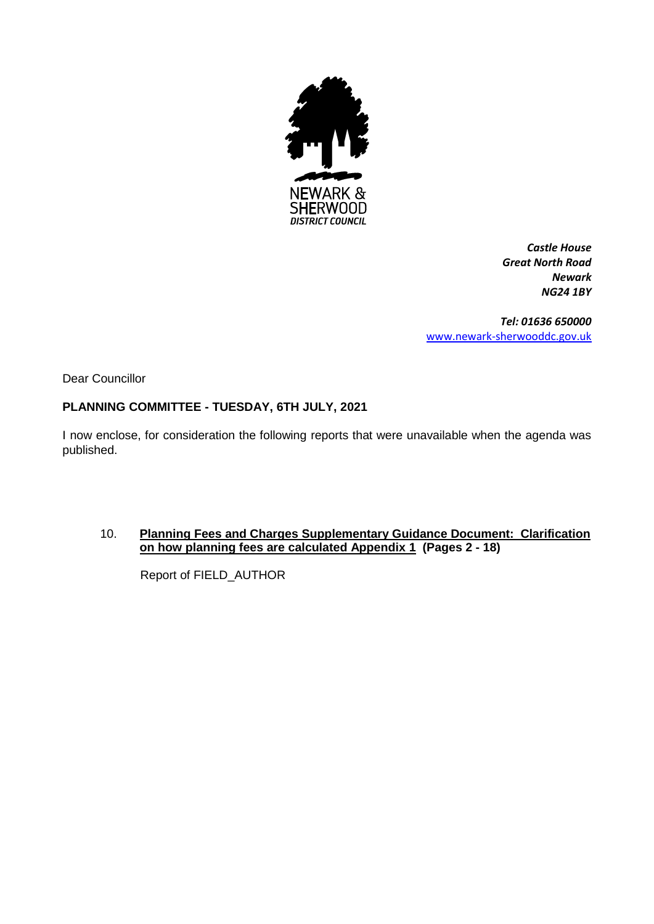

*Castle House Great North Road Newark NG24 1BY*

*Tel: 01636 650000* [www.newark-sherwooddc.gov.uk](http://www.newark-sherwooddc.gov.uk/)

Dear Councillor

### **PLANNING COMMITTEE - TUESDAY, 6TH JULY, 2021**

I now enclose, for consideration the following reports that were unavailable when the agenda was published.

#### 10. **Planning Fees and Charges Supplementary Guidance Document: Clarification on how planning fees are calculated Appendix 1 (Pages 2 - 18)**

Report of FIELD\_AUTHOR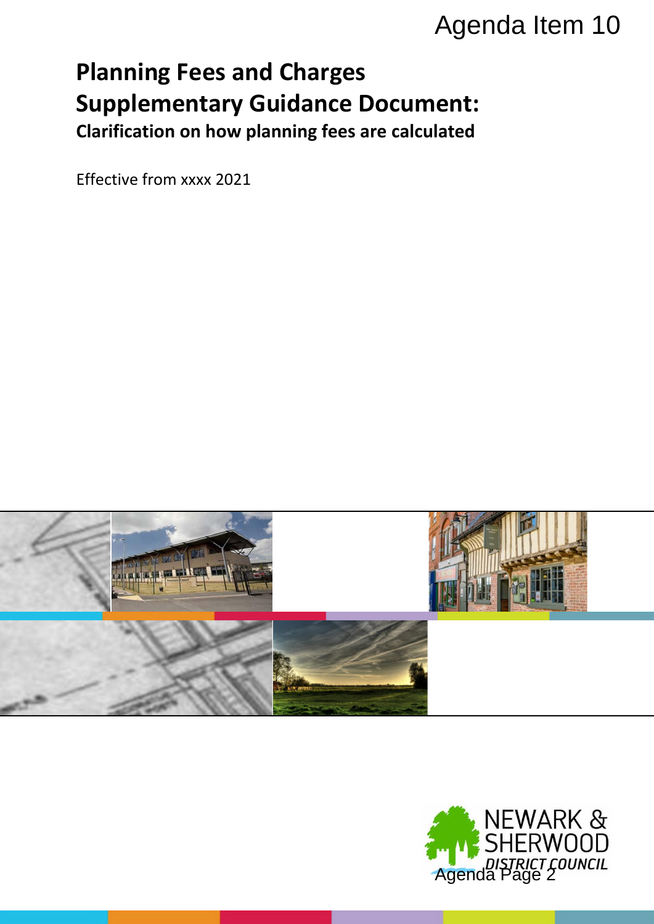# **Planning Fees and Charges Supplementary Guidance Document: Clarification on how planning fees are calculated**

Effective from xxxx 2021



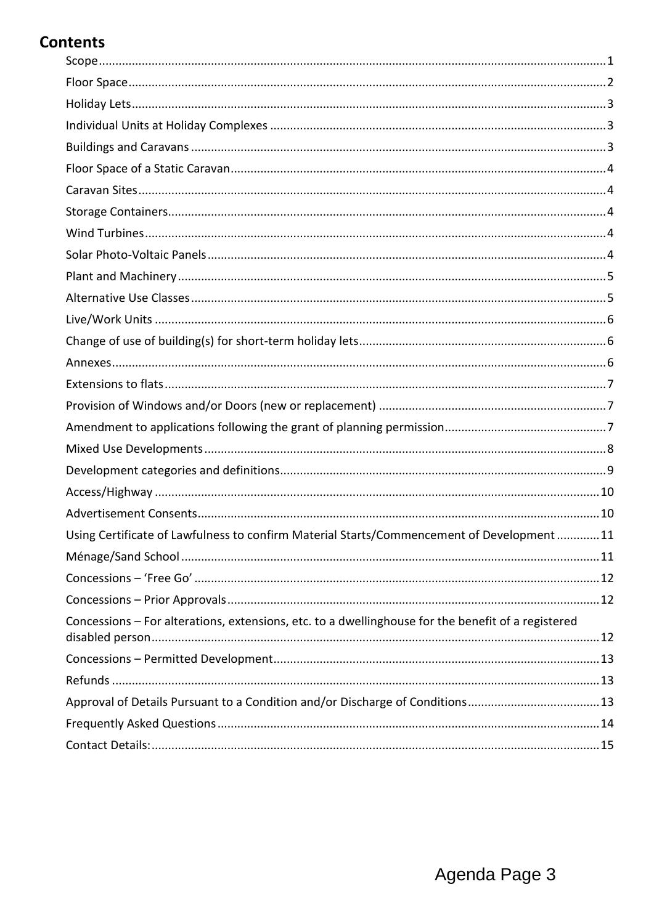# **Contents**

| Using Certificate of Lawfulness to confirm Material Starts/Commencement of Development11           |  |
|----------------------------------------------------------------------------------------------------|--|
|                                                                                                    |  |
|                                                                                                    |  |
|                                                                                                    |  |
| Concessions - For alterations, extensions, etc. to a dwellinghouse for the benefit of a registered |  |
|                                                                                                    |  |
|                                                                                                    |  |
| Approval of Details Pursuant to a Condition and/or Discharge of Conditions13                       |  |
|                                                                                                    |  |
|                                                                                                    |  |
|                                                                                                    |  |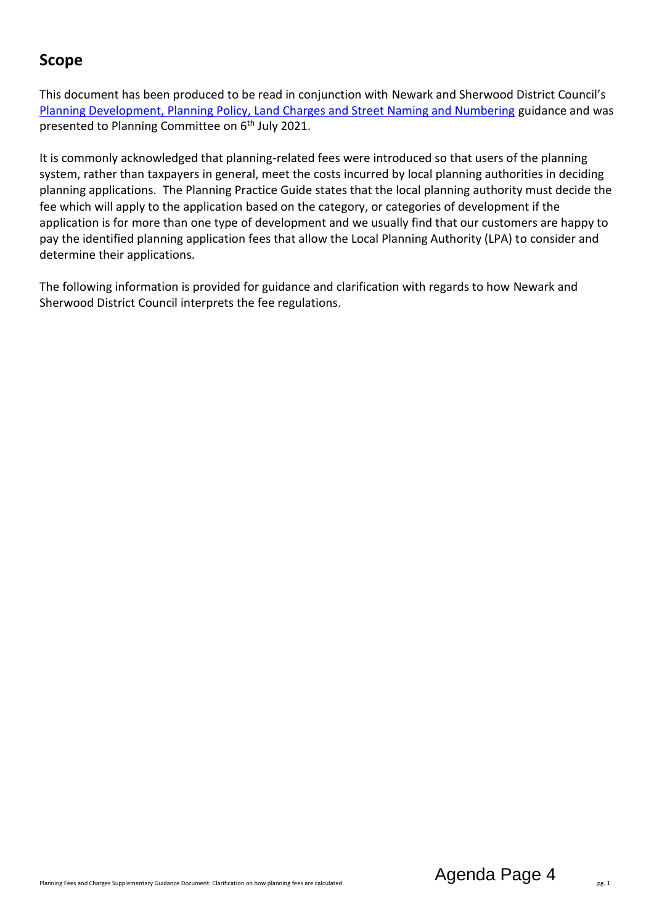# <span id="page-3-0"></span>**Scope**

This document has been produced to be read in conjunction with Newark and Sherwood District Council's [Planning Development, Planning Policy, Land Charges and Street Naming and Numbering](https://www.newark-sherwooddc.gov.uk/media/newarkandsherwood/imagesandfiles/planningpolicy/pdfs/fees%20and%20charges%20budget%202021-22.pdf) guidance and was presented to Planning Committee on 6<sup>th</sup> July 2021.

It is commonly acknowledged that planning-related fees were introduced so that users of the planning system, rather than taxpayers in general, meet the costs incurred by local planning authorities in deciding planning applications. The Planning Practice Guide states that the local planning authority must decide the fee which will apply to the application based on the category, or categories of development if the application is for more than one type of development and we usually find that our customers are happy to pay the identified planning application fees that allow the Local Planning Authority (LPA) to consider and determine their applications.

The following information is provided for guidance and clarification with regards to how Newark and Sherwood District Council interprets the fee regulations.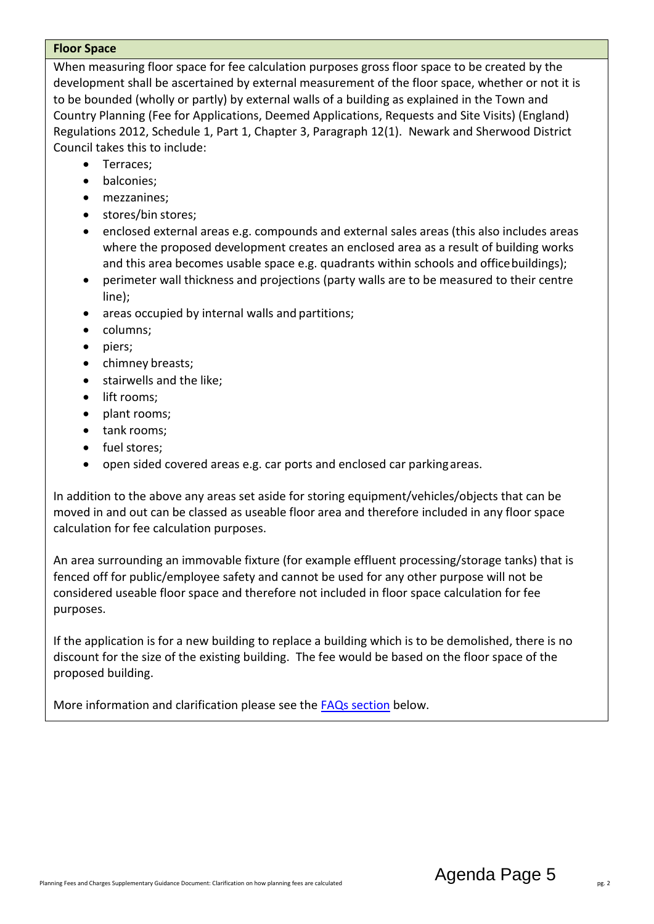#### <span id="page-4-0"></span>**Floor Space**

When measuring floor space for fee calculation purposes gross floor space to be created by the development shall be ascertained by external measurement of the floor space, whether or not it is to be bounded (wholly or partly) by external walls of a building as explained in the Town and Country Planning (Fee for Applications, Deemed Applications, Requests and Site Visits) (England) Regulations 2012, Schedule 1, Part 1, Chapter 3, Paragraph 12(1). Newark and Sherwood District Council takes this to include:

- Terraces:
- balconies;
- mezzanines;
- stores/bin stores;
- enclosed external areas e.g. compounds and external sales areas (this also includes areas where the proposed development creates an enclosed area as a result of building works and this area becomes usable space e.g. quadrants within schools and office buildings);
- perimeter wall thickness and projections (party walls are to be measured to their centre line);
- areas occupied by internal walls and partitions;
- columns;
- piers;
- chimney breasts;
- **•** stairwells and the like;
- lift rooms:
- plant rooms;
- tank rooms;
- fuel stores;
- open sided covered areas e.g. car ports and enclosed car parkingareas.

In addition to the above any areas set aside for storing equipment/vehicles/objects that can be moved in and out can be classed as useable floor area and therefore included in any floor space calculation for fee calculation purposes.

An area surrounding an immovable fixture (for example effluent processing/storage tanks) that is fenced off for public/employee safety and cannot be used for any other purpose will not be considered useable floor space and therefore not included in floor space calculation for fee purposes.

If the application is for a new building to replace a building which is to be demolished, there is no discount for the size of the existing building. The fee would be based on the floor space of the proposed building.

More information and clarification please see the [FAQs section](#page-16-0) below.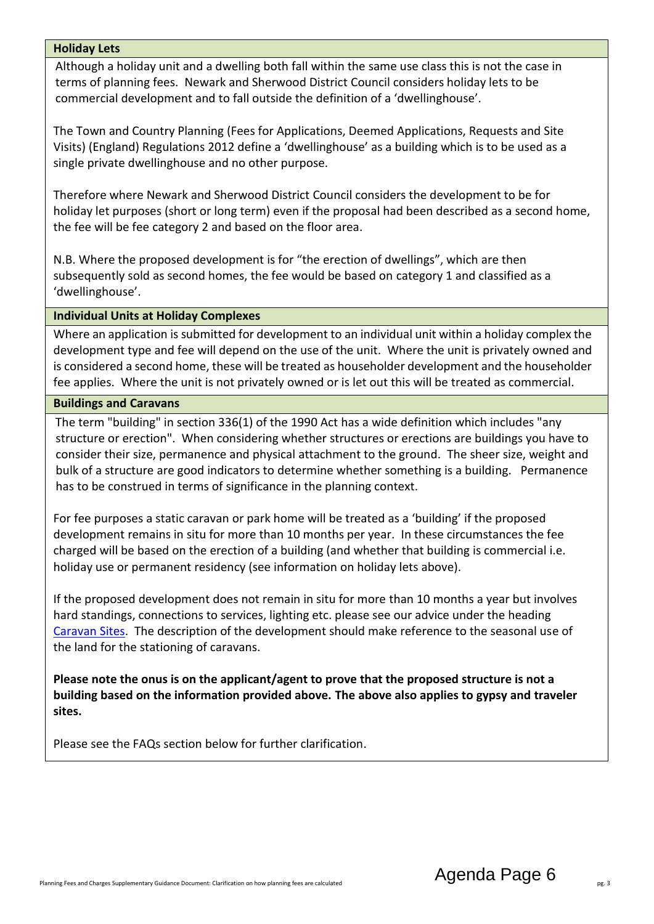#### <span id="page-5-0"></span>**Holiday Lets**

Although a holiday unit and a dwelling both fall within the same use class this is not the case in terms of planning fees. Newark and Sherwood District Council considers holiday lets to be commercial development and to fall outside the definition of a 'dwellinghouse'.

The Town and Country Planning (Fees for Applications, Deemed Applications, Requests and Site Visits) (England) Regulations 2012 define a 'dwellinghouse' as a building which is to be used as a single private dwellinghouse and no other purpose.

Therefore where Newark and Sherwood District Council considers the development to be for holiday let purposes (short or long term) even if the proposal had been described as a second home, the fee will be fee category 2 and based on the floor area.

N.B. Where the proposed development is for "the erection of dwellings", which are then subsequently sold as second homes, the fee would be based on category 1 and classified as a 'dwellinghouse'.

#### <span id="page-5-1"></span>**Individual Units at Holiday Complexes**

Where an application is submitted for development to an individual unit within a holiday complex the development type and fee will depend on the use of the unit. Where the unit is privately owned and is considered a second home, these will be treated as householder development and the householder fee applies. Where the unit is not privately owned or is let out this will be treated as commercial.

#### <span id="page-5-2"></span>**Buildings and Caravans**

The term "building" in section 336(1) of the 1990 Act has a wide definition which includes "any structure or erection". When considering whether structures or erections are buildings you have to consider their size, permanence and physical attachment to the ground. The sheer size, weight and bulk of a structure are good indicators to determine whether something is a building. Permanence has to be construed in terms of significance in the planning context.

For fee purposes a static caravan or park home will be treated as a 'building' if the proposed development remains in situ for more than 10 months per year. In these circumstances the fee charged will be based on the erection of a building (and whether that building is commercial i.e. holiday use or permanent residency (see information on holiday lets above).

If the proposed development does not remain in situ for more than 10 months a year but involves hard standings, connections to services, lighting etc. please see our advice under the heading [Caravan Sites.](#page-6-1) The description of the development should make reference to the seasonal use of the land for the stationing of caravans.

**Please note the onus is on the applicant/agent to prove that the proposed structure is not a building based on the information provided above. The above also applies to gypsy and traveler sites.**

Please see the FAQs section below for further clarification.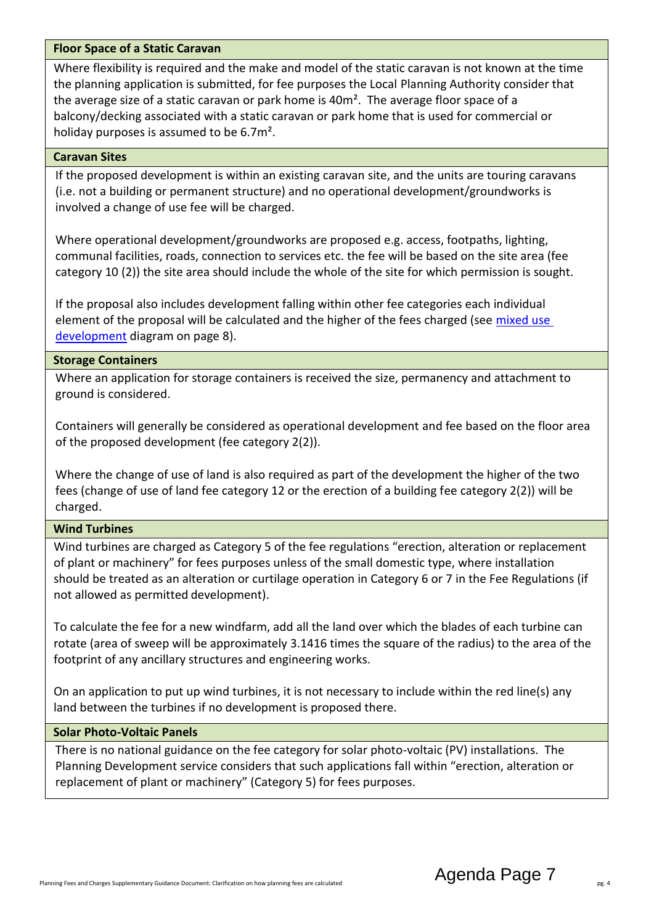#### <span id="page-6-0"></span>**Floor Space of a Static Caravan**

Where flexibility is required and the make and model of the static caravan is not known at the time the planning application is submitted, for fee purposes the Local Planning Authority consider that the average size of a static caravan or park home is 40m<sup>2</sup>. The average floor space of a balcony/decking associated with a static caravan or park home that is used for commercial or holiday purposes is assumed to be 6.7m².

#### <span id="page-6-1"></span>**Caravan Sites**

If the proposed development is within an existing caravan site, and the units are touring caravans (i.e. not a building or permanent structure) and no operational development/groundworks is involved a change of use fee will be charged.

Where operational development/groundworks are proposed e.g. access, footpaths, lighting, communal facilities, roads, connection to services etc. the fee will be based on the site area (fee category 10 (2)) the site area should include the whole of the site for which permission is sought.

If the proposal also includes development falling within other fee categories each individual element of the proposal will be calculated and the higher of the fees charged (see mixed use [development](#page-10-0) diagram on page 8).

#### <span id="page-6-2"></span>**Storage Containers**

Where an application for storage containers is received the size, permanency and attachment to ground is considered.

Containers will generally be considered as operational development and fee based on the floor area of the proposed development (fee category 2(2)).

Where the change of use of land is also required as part of the development the higher of the two fees (change of use of land fee category 12 or the erection of a building fee category 2(2)) will be charged.

#### <span id="page-6-3"></span>**Wind Turbines**

Wind turbines are charged as Category 5 of the fee regulations "erection, alteration or replacement of plant or machinery" for fees purposes unless of the small domestic type, where installation should be treated as an alteration or curtilage operation in Category 6 or 7 in the Fee Regulations (if not allowed as permitted development).

To calculate the fee for a new windfarm, add all the land over which the blades of each turbine can rotate (area of sweep will be approximately 3.1416 times the square of the radius) to the area of the footprint of any ancillary structures and engineering works.

On an application to put up wind turbines, it is not necessary to include within the red line(s) any land between the turbines if no development is proposed there.

#### <span id="page-6-4"></span>**Solar Photo-Voltaic Panels**

There is no national guidance on the fee category for solar photo-voltaic (PV) installations. The Planning Development service considers that such applications fall within "erection, alteration or replacement of plant or machinery" (Category 5) for fees purposes.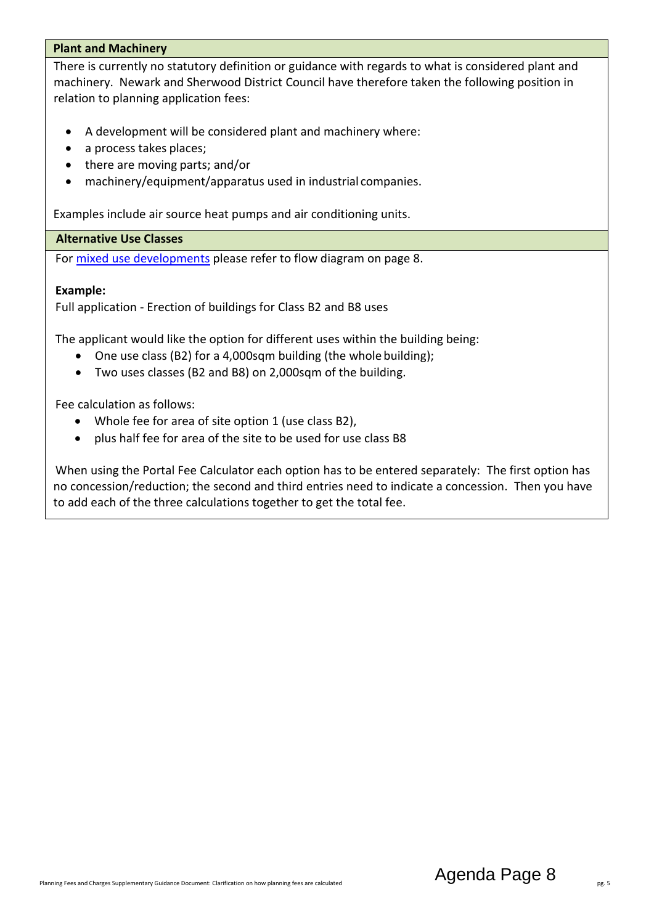#### <span id="page-7-0"></span>**Plant and Machinery**

There is currently no statutory definition or guidance with regards to what is considered plant and machinery. Newark and Sherwood District Council have therefore taken the following position in relation to planning application fees:

- A development will be considered plant and machinery where:
- a process takes places;
- there are moving parts; and/or
- machinery/equipment/apparatus used in industrial companies.

Examples include air source heat pumps and air conditioning units.

#### <span id="page-7-1"></span>**Alternative Use Classes**

For [mixed use developments](#page-10-0) please refer to flow diagram on page 8.

#### **Example:**

Full application - Erection of buildings for Class B2 and B8 uses

The applicant would like the option for different uses within the building being:

- One use class (B2) for a 4,000sqm building (the whole building);
- Two uses classes (B2 and B8) on 2,000sqm of the building.

Fee calculation as follows:

- Whole fee for area of site option 1 (use class B2),
- plus half fee for area of the site to be used for use class B8

When using the Portal Fee Calculator each option has to be entered separately: The first option has no concession/reduction; the second and third entries need to indicate a concession. Then you have to add each of the three calculations together to get the total fee.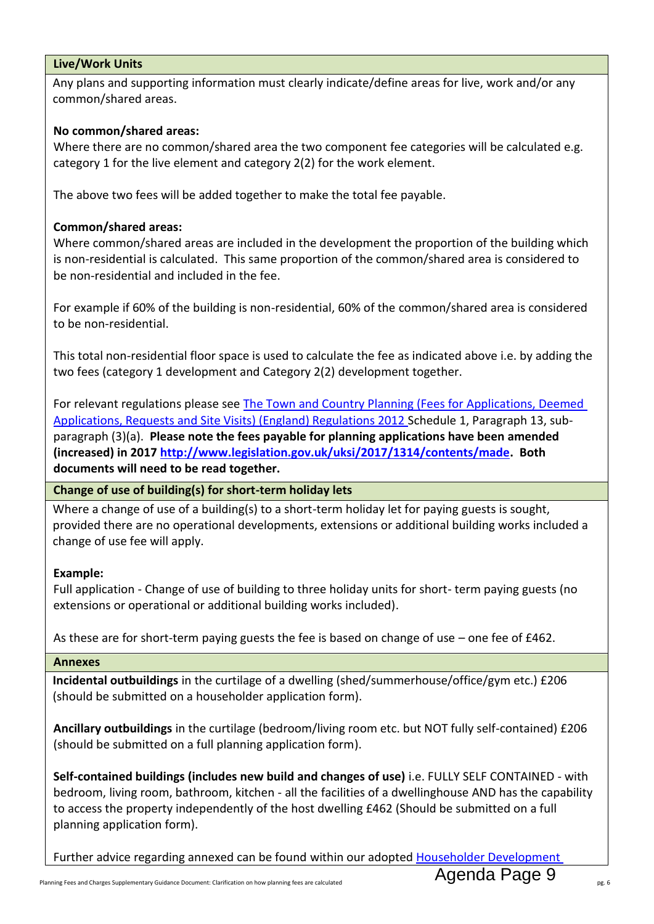#### <span id="page-8-0"></span>**Live/Work Units**

Any plans and supporting information must clearly indicate/define areas for live, work and/or any common/shared areas.

#### **No common/shared areas:**

Where there are no common/shared area the two component fee categories will be calculated e.g. category 1 for the live element and category 2(2) for the work element.

The above two fees will be added together to make the total fee payable.

#### **Common/shared areas:**

Where common/shared areas are included in the development the proportion of the building which is non-residential is calculated. This same proportion of the common/shared area is considered to be non-residential and included in the fee.

For example if 60% of the building is non-residential, 60% of the common/shared area is considered to be non-residential.

This total non-residential floor space is used to calculate the fee as indicated above i.e. by adding the two fees (category 1 development and Category 2(2) development together.

For relevant regulations please see [The Town and Country Planning \(Fees for Applications, Deemed](http://www.legislation.gov.uk/uksi/2012/2920/schedule/1/made) [Applications, Requests and Site Visits\) \(England\) Regulations 2012 S](http://www.legislation.gov.uk/uksi/2012/2920/schedule/1/made)chedule 1, Paragraph 13, subparagraph (3)(a). **Please note the fees payable for planning applications have been amended (increased) in 2017 [http://www.legislation.gov.uk/uksi/2017/1314/contents/made.](http://www.legislation.gov.uk/uksi/2017/1314/contents/made) Both documents will need to be read together.**

<span id="page-8-1"></span>**Change of use of building(s) for short-term holiday lets**

Where a change of use of a building(s) to a short-term holiday let for paying guests is sought, provided there are no operational developments, extensions or additional building works included a change of use fee will apply.

#### **Example:**

Full application - Change of use of building to three holiday units for short- term paying guests (no extensions or operational or additional building works included).

As these are for short-term paying guests the fee is based on change of use – one fee of £462.

#### <span id="page-8-2"></span>**Annexes**

**Incidental outbuildings** in the curtilage of a dwelling (shed/summerhouse/office/gym etc.) £206 (should be submitted on a householder application form).

**Ancillary outbuildings** in the curtilage (bedroom/living room etc. but NOT fully self-contained) £206 (should be submitted on a full planning application form).

**Self-contained buildings (includes new build and changes of use)** i.e. FULLY SELF CONTAINED - with bedroom, living room, bathroom, kitchen - all the facilities of a dwellinghouse AND has the capability to access the property independently of the host dwelling £462 (Should be submitted on a full planning application form).

Further advice regarding annexed can be found within our adopted Householder Development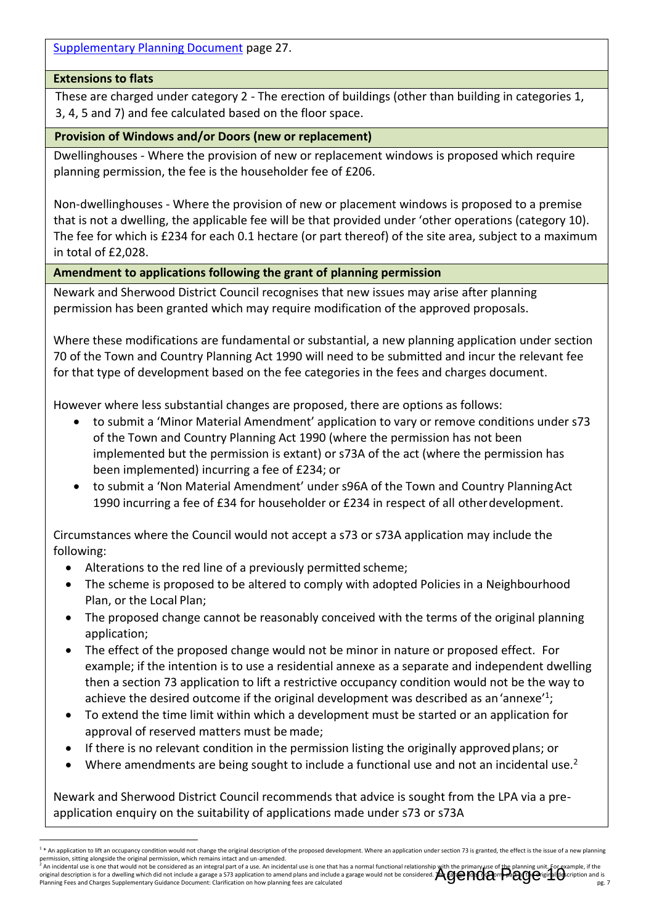[Supplementary Planning Document](https://www.newark-sherwooddc.gov.uk/media/newarkandsherwood/imagesandfiles/planningpolicy/pdfs/supplementaryplanningdocuments/Adopted%20Householder%20Development%20SPD.pdf) page 27.

#### <span id="page-9-0"></span>**Extensions to flats**

These are charged under category 2 - The erection of buildings (other than building in categories 1, 3, 4, 5 and 7) and fee calculated based on the floor space.

#### <span id="page-9-1"></span>**Provision of Windows and/or Doors (new or replacement)**

Dwellinghouses - Where the provision of new or replacement windows is proposed which require planning permission, the fee is the householder fee of £206.

Non-dwellinghouses - Where the provision of new or placement windows is proposed to a premise that is not a dwelling, the applicable fee will be that provided under 'other operations (category 10). The fee for which is £234 for each 0.1 hectare (or part thereof) of the site area, subject to a maximum in total of £2,028.

#### <span id="page-9-2"></span>**Amendment to applications following the grant of planning permission**

Newark and Sherwood District Council recognises that new issues may arise after planning permission has been granted which may require modification of the approved proposals.

Where these modifications are fundamental or substantial, a new planning application under section 70 of the Town and Country Planning Act 1990 will need to be submitted and incur the relevant fee for that type of development based on the fee categories in the fees and charges document.

However where less substantial changes are proposed, there are options as follows:

- to submit a 'Minor Material Amendment' application to vary or remove conditions under s73 of the Town and Country Planning Act 1990 (where the permission has not been implemented but the permission is extant) or s73A of the act (where the permission has been implemented) incurring a fee of £234; or
- to submit a 'Non Material Amendment' under s96A of the Town and Country PlanningAct 1990 incurring a fee of £34 for householder or £234 in respect of all otherdevelopment.

Circumstances where the Council would not accept a s73 or s73A application may include the following:

- Alterations to the red line of a previously permitted scheme;
- The scheme is proposed to be altered to comply with adopted Policies in a Neighbourhood Plan, or the Local Plan;
- The proposed change cannot be reasonably conceived with the terms of the original planning application;
- The effect of the proposed change would not be minor in nature or proposed effect. For example; if the intention is to use a residential annexe as a separate and independent dwelling then a section 73 application to lift a restrictive occupancy condition would not be the way to achieve the desired outcome if the original development was described as an 'annexe'<sup>1</sup>;
- To extend the time limit within which a development must be started or an application for approval of reserved matters must be made;
- If there is no relevant condition in the permission listing the originally approvedplans; or
- Where amendments are being sought to include a functional use and not an incidental use.<sup>2</sup>

Newark and Sherwood District Council recommends that advice is sought from the LPA via a preapplication enquiry on the suitability of applications made under s73 or s73A

<sup>-</sup>1 \* An application to lift an occupancy condition would not change the original description of the proposed development. Where an application under section 73 is granted, the effect is the issue of a new planning permission, sitting alongside the original permission, which remains intact and un-amended.

Planning Fees and Charges Supplementary Guidance Document: Clarification on how planning fees are calculated an incidental use is one that would not be considered as an integral part of a use. An incidental use is one that has a normal functional relationship with the primary use of the planning unit. For example, if the integral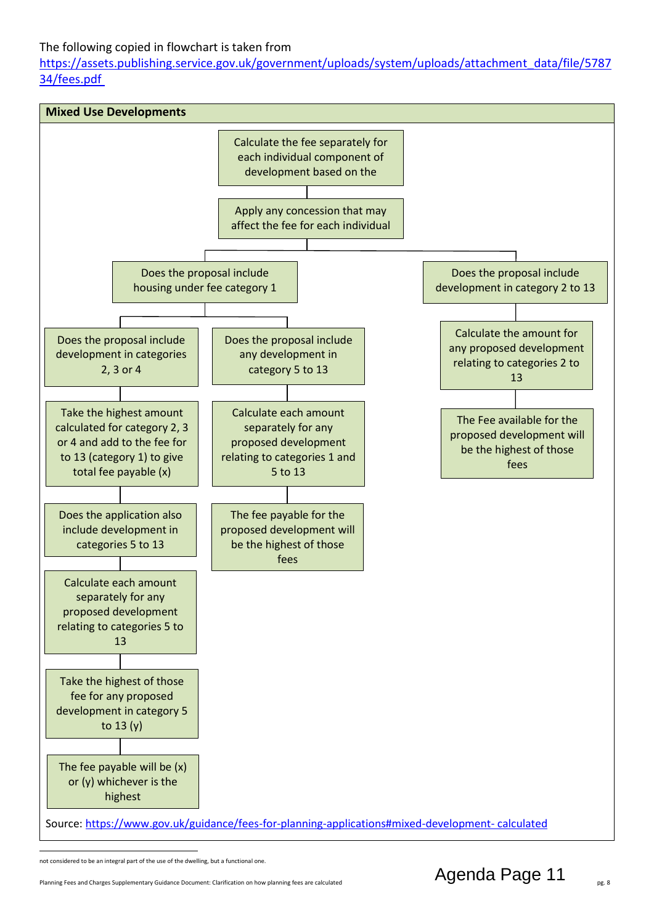#### The following copied in flowchart is taken from

[https://assets.publishing.service.gov.uk/government/uploads/system/uploads/attachment\\_data/file/5787](https://assets.publishing.service.gov.uk/government/uploads/system/uploads/attachment_data/file/578734/fees.pdf) [34/fees.pdf](https://assets.publishing.service.gov.uk/government/uploads/system/uploads/attachment_data/file/578734/fees.pdf)

<span id="page-10-0"></span>

not considered to be an integral part of the use of the dwelling, but a functional one.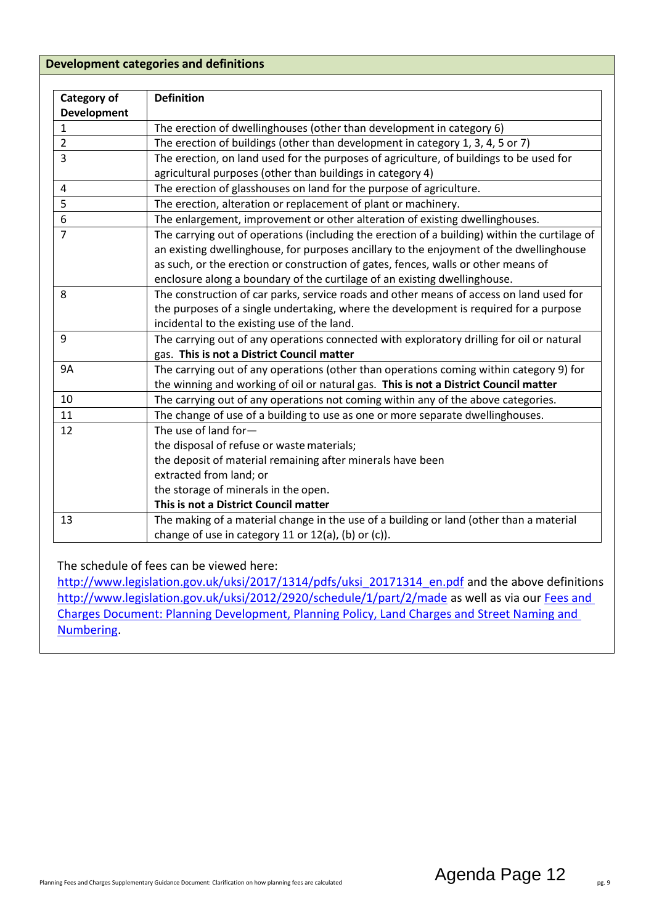#### <span id="page-11-0"></span>**Development categories and definitions**

| Category of        | <b>Definition</b>                                                                             |
|--------------------|-----------------------------------------------------------------------------------------------|
| <b>Development</b> |                                                                                               |
| $\mathbf{1}$       | The erection of dwellinghouses (other than development in category 6)                         |
| $\overline{2}$     | The erection of buildings (other than development in category 1, 3, 4, 5 or 7)                |
| $\overline{3}$     | The erection, on land used for the purposes of agriculture, of buildings to be used for       |
|                    | agricultural purposes (other than buildings in category 4)                                    |
| $\overline{4}$     | The erection of glasshouses on land for the purpose of agriculture.                           |
| 5                  | The erection, alteration or replacement of plant or machinery.                                |
| 6                  | The enlargement, improvement or other alteration of existing dwellinghouses.                  |
| $\overline{7}$     | The carrying out of operations (including the erection of a building) within the curtilage of |
|                    | an existing dwellinghouse, for purposes ancillary to the enjoyment of the dwellinghouse       |
|                    | as such, or the erection or construction of gates, fences, walls or other means of            |
|                    | enclosure along a boundary of the curtilage of an existing dwellinghouse.                     |
| 8                  | The construction of car parks, service roads and other means of access on land used for       |
|                    | the purposes of a single undertaking, where the development is required for a purpose         |
|                    | incidental to the existing use of the land.                                                   |
| 9                  | The carrying out of any operations connected with exploratory drilling for oil or natural     |
|                    | gas. This is not a District Council matter                                                    |
| <b>9A</b>          | The carrying out of any operations (other than operations coming within category 9) for       |
|                    | the winning and working of oil or natural gas. This is not a District Council matter          |
| 10                 | The carrying out of any operations not coming within any of the above categories.             |
| 11                 | The change of use of a building to use as one or more separate dwellinghouses.                |
| 12                 | The use of land for-                                                                          |
|                    | the disposal of refuse or waste materials;                                                    |
|                    | the deposit of material remaining after minerals have been                                    |
|                    | extracted from land; or                                                                       |
|                    | the storage of minerals in the open.                                                          |
|                    | This is not a District Council matter                                                         |
| 13                 | The making of a material change in the use of a building or land (other than a material       |
|                    | change of use in category 11 or 12(a), (b) or (c)).                                           |

The schedule of fees can be viewed here:

[http://www.legislation.gov.uk/uksi/2017/1314/pdfs/uksi\\_20171314\\_en.pdf](http://www.legislation.gov.uk/uksi/2017/1314/pdfs/uksi_20171314_en.pdf) and the above definitions <http://www.legislation.gov.uk/uksi/2012/2920/schedule/1/part/2/made> as well as via our Fees and [Charges Document: Planning Development, Planning Policy, Land Charges and Street Naming and](https://www.newark-sherwooddc.gov.uk/media/newarkandsherwood/imagesandfiles/planningpolicy/pdfs/fees%20and%20charges%20budget%202021-22.pdf)  [Numbering.](https://www.newark-sherwooddc.gov.uk/media/newarkandsherwood/imagesandfiles/planningpolicy/pdfs/fees%20and%20charges%20budget%202021-22.pdf)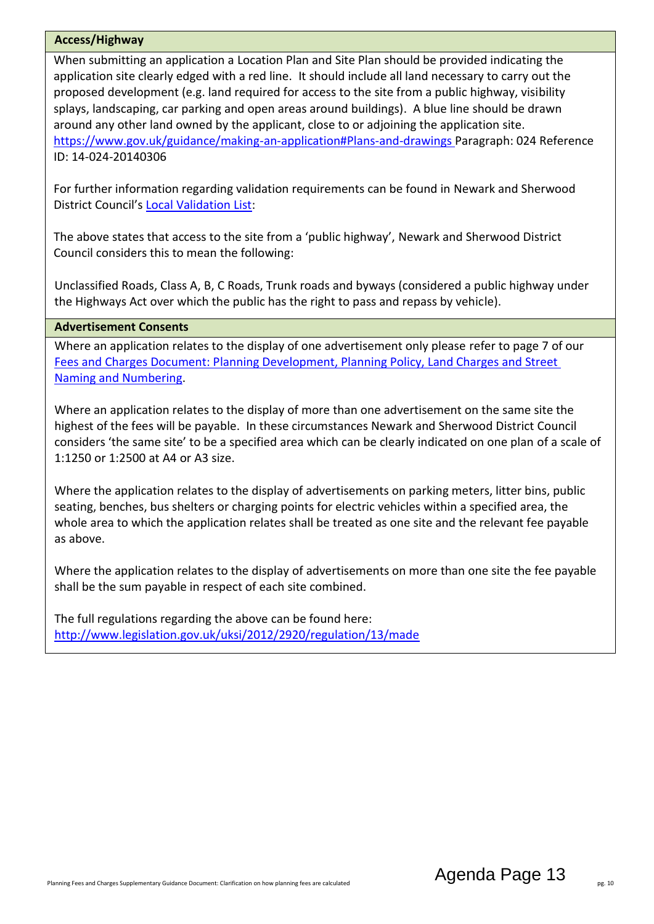#### <span id="page-12-0"></span>**Access/Highway**

When submitting an application a Location Plan and Site Plan should be provided indicating the application site clearly edged with a red line. It should include all land necessary to carry out the proposed development (e.g. land required for access to the site from a public highway, visibility splays, landscaping, car parking and open areas around buildings). A blue line should be drawn around any other land owned by the applicant, close to or adjoining the application site. [https://www.gov.uk/guidance/making-an-application#Plans-and-drawings P](https://www.gov.uk/guidance/making-an-application#Plans-and-drawings)aragraph: 024 Reference ID: 14-024-20140306

For further information regarding validation requirements can be found in Newark and Sherwood District Council's [Local Validation List:](https://www.newark-sherwooddc.gov.uk/media/newarkandsherwood/imagesandfiles/planningpolicy/pdfs/Planning%20Application%20Validation%20Checklist.pdf)

The above states that access to the site from a 'public highway', Newark and Sherwood District Council considers this to mean the following:

Unclassified Roads, Class A, B, C Roads, Trunk roads and byways (considered a public highway under the Highways Act over which the public has the right to pass and repass by vehicle).

#### <span id="page-12-1"></span>**Advertisement Consents**

Where an application relates to the display of one advertisement only please refer to page 7 of our [Fees and Charges Document: Planning Development, Planning Policy, Land Charges and Street](https://www.newark-sherwooddc.gov.uk/media/newarkandsherwood/imagesandfiles/planningpolicy/pdfs/fees%20and%20charges%20budget%202021-22.pdf)  [Naming and Numbering.](https://www.newark-sherwooddc.gov.uk/media/newarkandsherwood/imagesandfiles/planningpolicy/pdfs/fees%20and%20charges%20budget%202021-22.pdf)

Where an application relates to the display of more than one advertisement on the same site the highest of the fees will be payable. In these circumstances Newark and Sherwood District Council considers 'the same site' to be a specified area which can be clearly indicated on one plan of a scale of 1:1250 or 1:2500 at A4 or A3 size.

Where the application relates to the display of advertisements on parking meters, litter bins, public seating, benches, bus shelters or charging points for electric vehicles within a specified area, the whole area to which the application relates shall be treated as one site and the relevant fee payable as above.

Where the application relates to the display of advertisements on more than one site the fee payable shall be the sum payable in respect of each site combined.

The full regulations regarding the above can be found here: <http://www.legislation.gov.uk/uksi/2012/2920/regulation/13/made>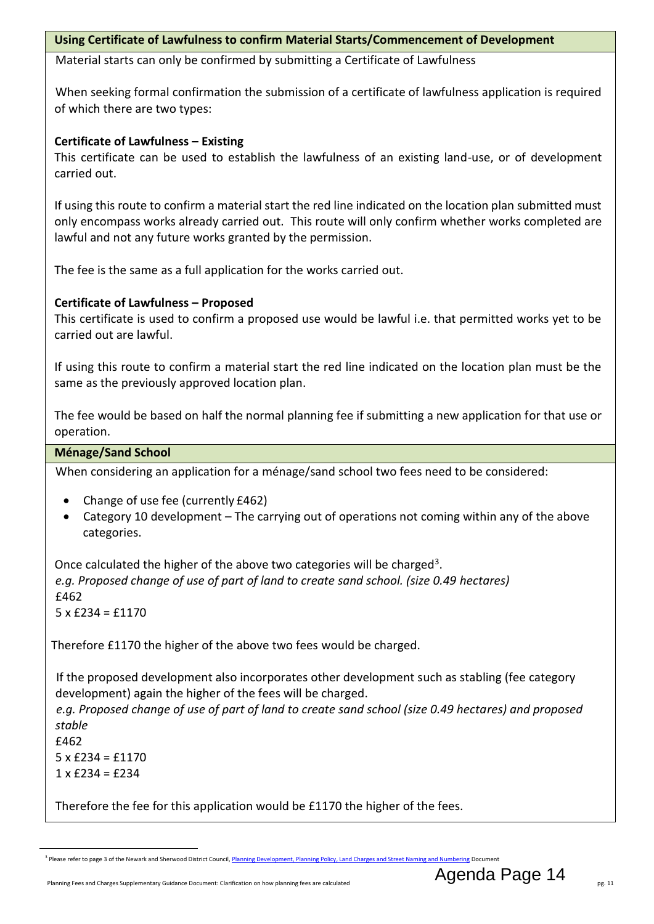#### <span id="page-13-0"></span>**Using Certificate of Lawfulness to confirm Material Starts/Commencement of Development**

Material starts can only be confirmed by submitting a Certificate of Lawfulness

When seeking formal confirmation the submission of a certificate of lawfulness application is required of which there are two types:

#### **Certificate of Lawfulness – Existing**

This certificate can be used to establish the lawfulness of an existing land-use, or of development carried out.

If using this route to confirm a material start the red line indicated on the location plan submitted must only encompass works already carried out. This route will only confirm whether works completed are lawful and not any future works granted by the permission.

The fee is the same as a full application for the works carried out.

#### **Certificate of Lawfulness – Proposed**

This certificate is used to confirm a proposed use would be lawful i.e. that permitted works yet to be carried out are lawful.

If using this route to confirm a material start the red line indicated on the location plan must be the same as the previously approved location plan.

The fee would be based on half the normal planning fee if submitting a new application for that use or operation.

#### <span id="page-13-1"></span>**Ménage/Sand School**

When considering an application for a ménage/sand school two fees need to be considered:

- Change of use fee (currently £462)
- Category 10 development The carrying out of operations not coming within any of the above categories.

Once calculated the higher of the above two categories will be charged<sup>3</sup>. *e.g. Proposed change of use of part of land to create sand school. (size 0.49 hectares)* £462  $5 \times$  £234 = £1170

Therefore £1170 the higher of the above two fees would be charged.

If the proposed development also incorporates other development such as stabling (fee category development) again the higher of the fees will be charged.

*e.g. Proposed change of use of part of land to create sand school (size 0.49 hectares) and proposed stable*

f462  $5 \times £234 = £1170$  $1 \times$  £234 = £234

4.

Therefore the fee for this application would be £1170 the higher of the fees.

<sup>-</sup><sup>3</sup> Please refer to page 3 of the Newark and Sherwood District Council[, Planning Development, Planning Policy, Land Charges and Street Naming and Numbering](https://www.newark-sherwooddc.gov.uk/media/newarkandsherwood/imagesandfiles/planningpolicy/pdfs/fees%20and%20charges%20budget%202021-22.pdf) Document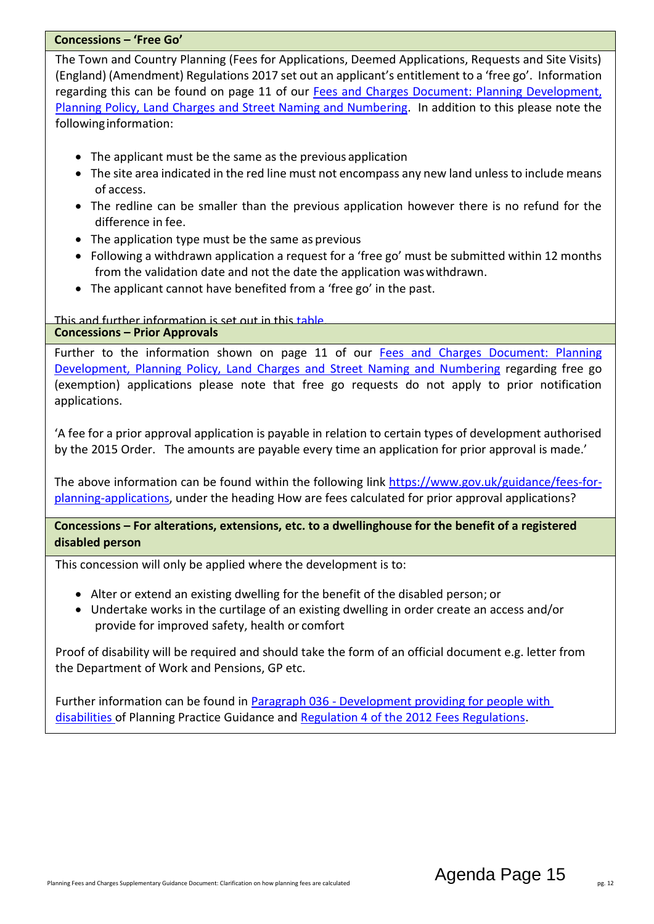#### <span id="page-14-0"></span>**Concessions – 'Free Go'**

The Town and Country Planning (Fees for Applications, Deemed Applications, Requests and Site Visits) (England) (Amendment) Regulations 2017 set out an applicant's entitlement to a 'free go'. Information regarding this can be found on page 11 of our [Fees and Charges Document: Planning Development,](https://www.newark-sherwooddc.gov.uk/media/newarkandsherwood/imagesandfiles/planningpolicy/pdfs/fees%20and%20charges%20budget%202021-22.pdf)  [Planning Policy, Land Charges and Street Naming and Numbering.](https://www.newark-sherwooddc.gov.uk/media/newarkandsherwood/imagesandfiles/planningpolicy/pdfs/fees%20and%20charges%20budget%202021-22.pdf) In addition to this please note the followinginformation:

- The applicant must be the same as the previous application
- The site area indicated in the red line must not encompass any new land unless to include means of access.
- The redline can be smaller than the previous application however there is no refund for the difference in fee.
- The application type must be the same as previous
- Following a withdrawn application a request for a 'free go' must be submitted within 12 months from the validation date and not the date the application waswithdrawn.
- The applicant cannot have benefited from a 'free go' in the past.

This and further information is set out in this [table.](https://assets.publishing.service.gov.uk/government/uploads/system/uploads/attachment_data/file/574500/When_are_applications_eligible_for_a__free_go_.pdf)

#### <span id="page-14-1"></span>**Concessions – Prior Approvals**

Further to the information shown on page 11 of our Fees and Charges Document: Planning [Development, Planning Policy, Land Charges and Street Naming and Numbering](https://www.newark-sherwooddc.gov.uk/media/newarkandsherwood/imagesandfiles/planningpolicy/pdfs/fees%20and%20charges%20budget%202021-22.pdf) regarding free go (exemption) applications please note that free go requests do not apply to prior notification applications.

'A fee for a prior approval application is payable in relation to certain types of development authorised by the 2015 Order. The amounts are payable every time an application for prior approval is made.'

The above information can be found within the following link [https://www.gov.uk/guidance/fees-for](https://www.gov.uk/guidance/fees-for-planning-applications)[planning-applications,](https://www.gov.uk/guidance/fees-for-planning-applications) under the heading How are fees calculated for prior approval applications?

#### <span id="page-14-2"></span>**Concessions – For alterations, extensions, etc. to a dwellinghouse for the benefit of a registered disabled person**

This concession will only be applied where the development is to:

- Alter or extend an existing dwelling for the benefit of the disabled person; or
- Undertake works in the curtilage of an existing dwelling in order create an access and/or provide for improved safety, health or comfort

Proof of disability will be required and should take the form of an official document e.g. letter from the Department of Work and Pensions, GP etc.

Further information can be found in **Paragraph 036 - [Development providing for people with](https://www.gov.uk/guidance/fees-for-planning-applications#exemption-or-concession)** [disabilities o](https://www.gov.uk/guidance/fees-for-planning-applications#exemption-or-concession)f Planning Practice Guidance an[d Regulation 4 of the 2012 Fees Regulations.](http://www.legislation.gov.uk/uksi/2012/2920/regulation/4/made)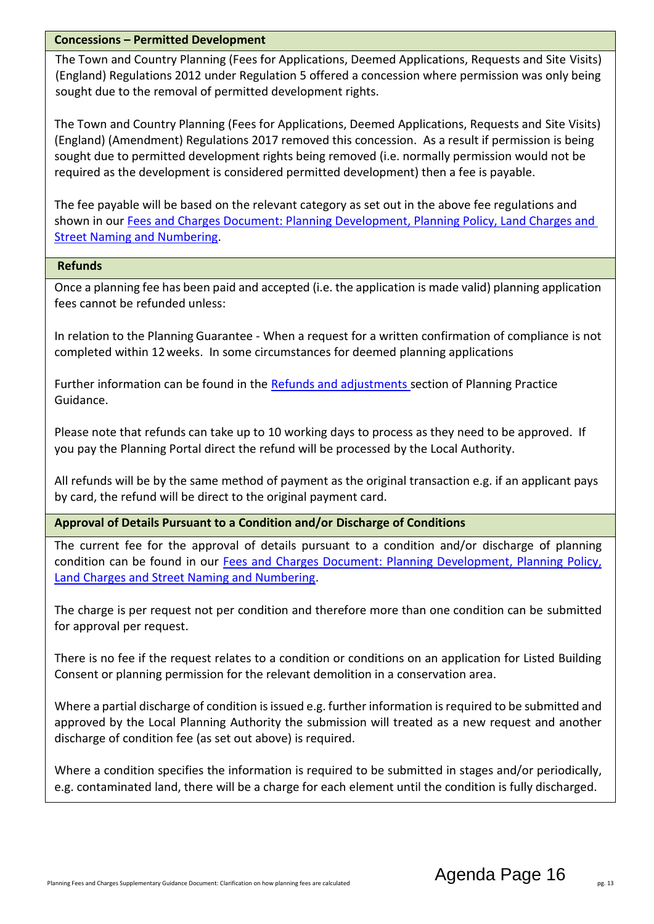#### <span id="page-15-0"></span>**Concessions – Permitted Development**

The Town and Country Planning (Fees for Applications, Deemed Applications, Requests and Site Visits) (England) Regulations 2012 under Regulation 5 offered a concession where permission was only being sought due to the removal of permitted development rights.

The Town and Country Planning (Fees for Applications, Deemed Applications, Requests and Site Visits) (England) (Amendment) Regulations 2017 removed this concession. As a result if permission is being sought due to permitted development rights being removed (i.e. normally permission would not be required as the development is considered permitted development) then a fee is payable.

The fee payable will be based on the relevant category as set out in the above fee regulations and shown in our Fees and Charges Document: Planning Development, Planning Policy, Land Charges and [Street Naming and Numbering.](https://www.newark-sherwooddc.gov.uk/media/newarkandsherwood/imagesandfiles/planningpolicy/pdfs/fees%20and%20charges%20budget%202021-22.pdf)

#### <span id="page-15-1"></span>**Refunds**

Once a planning fee has been paid and accepted (i.e. the application is made valid) planning application fees cannot be refunded unless:

 In relation to the Planning Guarantee - When a request for a written confirmation of compliance is not completed within 12weeks. In some circumstances for deemed planning applications

Further information can be found in the [Refunds and adjustments s](https://www.gov.uk/guidance/fees-for-planning-applications#exemption-or-concession)ection of Planning Practice Guidance.

Please note that refunds can take up to 10 working days to process as they need to be approved. If you pay the Planning Portal direct the refund will be processed by the Local Authority.

All refunds will be by the same method of payment as the original transaction e.g. if an applicant pays by card, the refund will be direct to the original payment card.

<span id="page-15-2"></span>**Approval of Details Pursuant to a Condition and/or Discharge of Conditions**

The current fee for the approval of details pursuant to a condition and/or discharge of planning condition can be found in our [Fees and Charges Document: Planning Development, Planning Policy,](https://www.newark-sherwooddc.gov.uk/media/newarkandsherwood/imagesandfiles/planningpolicy/pdfs/fees%20and%20charges%20budget%202021-22.pdf)  [Land Charges and Street Naming and Numbering.](https://www.newark-sherwooddc.gov.uk/media/newarkandsherwood/imagesandfiles/planningpolicy/pdfs/fees%20and%20charges%20budget%202021-22.pdf)

The charge is per request not per condition and therefore more than one condition can be submitted for approval per request.

There is no fee if the request relates to a condition or conditions on an application for Listed Building Consent or planning permission for the relevant demolition in a conservation area.

Where a partial discharge of condition is issued e.g. further information is required to be submitted and approved by the Local Planning Authority the submission will treated as a new request and another discharge of condition fee (as set out above) is required.

Where a condition specifies the information is required to be submitted in stages and/or periodically, e.g. contaminated land, there will be a charge for each element until the condition is fully discharged.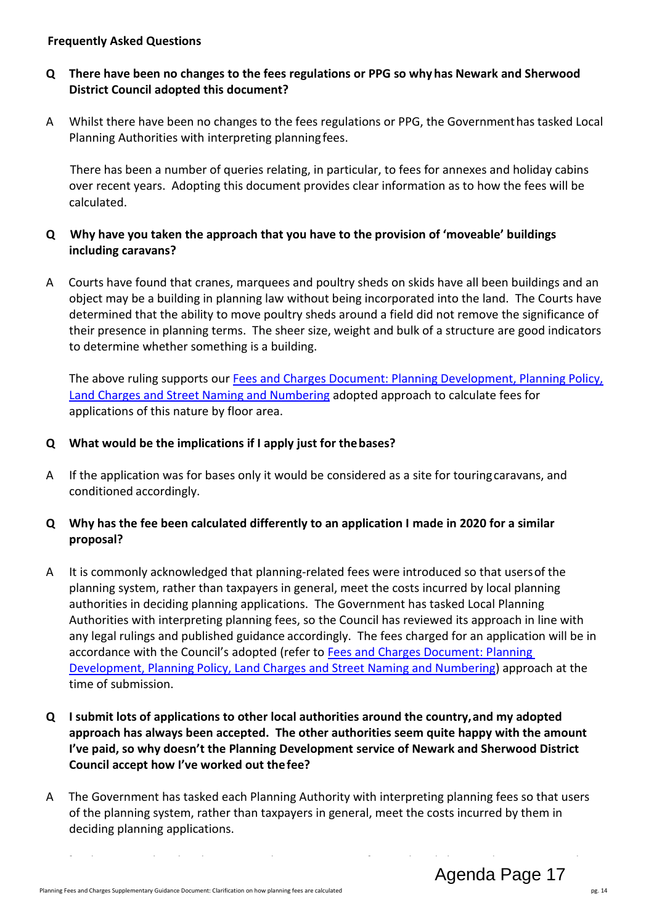#### <span id="page-16-0"></span>**Frequently Asked Questions**

#### **Q There have been no changes to the fees regulations or PPG so whyhas Newark and Sherwood District Council adopted this document?**

A Whilst there have been no changes to the fees regulations or PPG, the Governmenthas tasked Local Planning Authorities with interpreting planningfees.

 There has been a number of queries relating, in particular, to fees for annexes and holiday cabins over recent years. Adopting this document provides clear information as to how the fees will be calculated.

#### **Q Why have you taken the approach that you have to the provision of 'moveable' buildings including caravans?**

A Courts have found that cranes, marquees and poultry sheds on skids have all been buildings and an object may be a building in planning law without being incorporated into the land. The Courts have determined that the ability to move poultry sheds around a field did not remove the significance of their presence in planning terms. The sheer size, weight and bulk of a structure are good indicators to determine whether something is a building.

The above ruling supports our [Fees and Charges Document: Planning Development, Planning Policy,](https://www.newark-sherwooddc.gov.uk/media/newarkandsherwood/imagesandfiles/planningpolicy/pdfs/fees%20and%20charges%20budget%202021-22.pdf)  [Land Charges and Street Naming and Numbering](https://www.newark-sherwooddc.gov.uk/media/newarkandsherwood/imagesandfiles/planningpolicy/pdfs/fees%20and%20charges%20budget%202021-22.pdf) adopted approach to calculate fees for applications of this nature by floor area.

### **Q What would be the implications if I apply just for thebases?**

A If the application was for bases only it would be considered as a site for touringcaravans, and conditioned accordingly.

#### **Q Why has the fee been calculated differently to an application I made in 2020 for a similar proposal?**

- A It is commonly acknowledged that planning-related fees were introduced so that usersof the planning system, rather than taxpayers in general, meet the costs incurred by local planning authorities in deciding planning applications. The Government has tasked Local Planning Authorities with interpreting planning fees, so the Council has reviewed its approach in line with any legal rulings and published guidance accordingly. The fees charged for an application will be in accordance with the Council's adopted (refer to [Fees and Charges Document: Planning](https://www.newark-sherwooddc.gov.uk/media/newarkandsherwood/imagesandfiles/planningpolicy/pdfs/fees%20and%20charges%20budget%202021-22.pdf)  [Development, Planning Policy, Land Charges and Street Naming and Numbering\)](https://www.newark-sherwooddc.gov.uk/media/newarkandsherwood/imagesandfiles/planningpolicy/pdfs/fees%20and%20charges%20budget%202021-22.pdf) approach at the time of submission.
- **Q I submit lots of applications to other local authorities around the country,and my adopted approach has always been accepted. The other authorities seem quite happy with the amount I've paid, so why doesn't the Planning Development service of Newark and Sherwood District Council accept how I've worked out thefee?**
- A The Government has tasked each Planning Authority with interpreting planning fees so that users of the planning system, rather than taxpayers in general, meet the costs incurred by them in deciding planning applications.